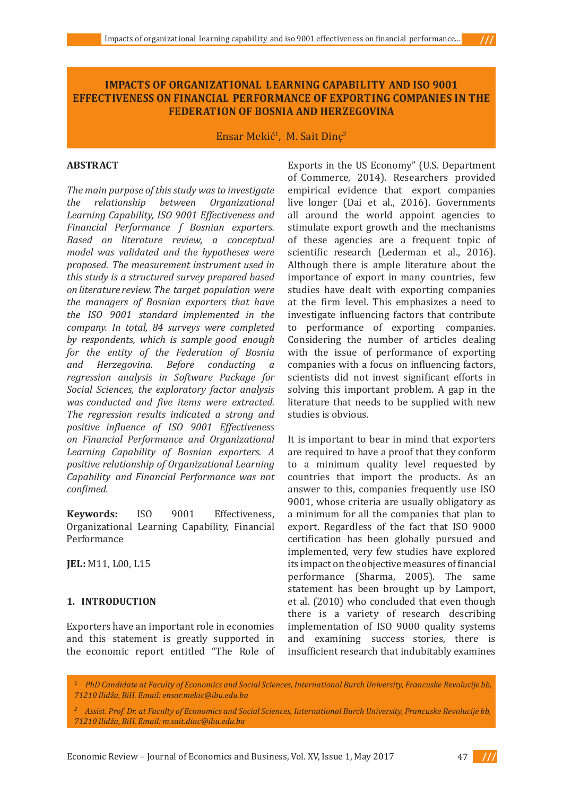# **IMPACTS OF ORGANIZATIONAL LEARNING CAPABILITY AND ISO 9001 EFFECTIVENESS ON FINANCIAL PERFORMANCE OF EXPORTING COMPANIES IN THE FEDERATION OF BOSNIA AND HERZEGOVINA**

Ensar Mekić<sup>1</sup>, M. Sait Dinç<sup>2</sup>

## **ABSTRACT**

*The main purpose of this study was to investigate the relationship between Organizational Learning Capability, ISO 9001 Effectiveness and Financial Performance f Bosnian exporters. Based on literature review, a conceptual model was validated and the hypotheses were proposed. The measurement instrument used in this study is a structured survey prepared based on literature review. The target population were the managers of Bosnian exporters that have the ISO 9001 standard implemented in the company. In total, 84 surveys were completed by respondents, which is sample good enough for the entity of the Federation of Bosnia and Herzegovina. Before conducting a regression analysis in Software Package for Social Sciences, the exploratory factor analysis was conducted and five items were extracted. The regression results indicated a strong and positive influence of ISO 9001 Effectiveness on Financial Performance and Organizational Learning Capability of Bosnian exporters. A positive relationship of Organizational Learning Capability and Financial Performance was not confimed.*

**Keywords:** ISO 9001 Effectiveness, Organizational Learning Capability, Financial Performance

**JEL :** M11, L00, L15

# 1. **INTRODUCTION**

Exporters have an important role in economies and this statement is greatly supported in the economic report entitled "The Role of Exports in the US Economy" (U.S. Department of Commerce, 2014). Researchers provided empirical evidence that export companies live longer (Dai et al., 2016). Governments all around the world appoint agencies to stimulate export growth and the mechanisms of these agencies are a frequent topic of scientific research (Lederman et al., 2016). Although there is ample literature about the importance of export in many countries, few studies have dealt with exporting companies at the firm level. This emphasizes a need to investigate influencing factors that contribute to performance of exporting companies. Considering the number of articles dealing with the issue of performance of exporting companies with a focus on influencing factors, scientists did not invest significant efforts in solving this important problem. A gap in the literature that needs to be supplied with new studies is obvious.

It is important to bear in mind that exporters are required to have a proof that they conform to a minimum quality level requested by countries that import the products. As an answer to this, companies frequently use ISO 9001, whose criteria are usually obligatory as a minimum for all the companies that plan to export. Regardless of the fact that ISO 9000 certification has been globally pursued and implemented, very few studies have explored its impact on the objective measures of financial performance (Sharma, 2005). The same statement has been brought up by Lamport, et al. (2010) who concluded that even though there is a variety of research describing implementation of ISO 9000 quality systems and examining success stories, there is insufficient research that indubitably examines

1 *PhD Candidate at Faculty of Economics and Social Sciences, International Burch University, Francuske Revolucije bb, 71210 Ilidža, BiH. Email: ensar.mekic@ibu.edu.ba*

*2 Assist. Prof. Dr. at Faculty of Economics and Social Sciences, International Burch University, Francuske Revolucije bb, 71210 Ilidža, BiH. Email: m.sait.dinc@ibu.edu.ba*

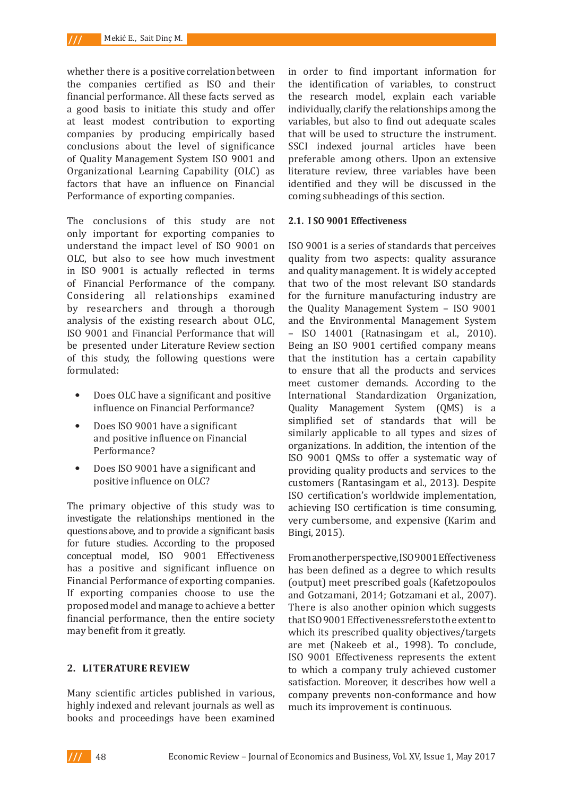whether there is a positive correlation between the companies certified as ISO and their financial performance. All these facts served as a good basis to initiate this study and offer at least modest contribution to exporting companies by producing empirically based conclusions about the level of significance of Quality Management System ISO 9001 and Organizational Learning Capability (OLC) as factors that have an influence on Financial Performance of exporting companies.

The conclusions of this study are not only important for exporting companies to understand the impact level of ISO 9001 on OLC, but also to see how much investment in ISO 9001 is actually reflected in terms of Financial Performance of the company. Considering all relationships examined by researchers and through a thorough analysis of the existing research about OLC, ISO 9001 and Financial Performance that will be presented under Literature Review section of this study, the following questions were formulated:

- *•* Does OLC have a significant and positive influence on Financial Performance?
- *•* Does ISO 9001 have a significant and positive influence on Financial Performance?
- *•* Does ISO 9001 have a significant and positive influence on OLC?

The primary objective of this study was to investigate the relationships mentioned in the questions above, and to provide a significant basis for future studies. According to the proposed conceptual model, ISO 9001 Effectiveness has a positive and significant influence on Financial Performance of exporting companies. If exporting companies choose to use the proposed model and manage to achieve a better financial performance, then the entire society may benefit from it greatly.

## **2. LITERATURE REVIEW**

Many scientific articles published in various, highly indexed and relevant journals as well as books and proceedings have been examined in order to find important information for the identification of variables, to construct the research model, explain each variable individually, clarify the relationships among the variables, but also to find out adequate scales that will be used to structure the instrument. SSCI indexed journal articles have been preferable among others. Upon an extensive literature review, three variables have been identified and they will be discussed in the coming subheadings of this section.

### **2.1. I SO 9001 Effectiveness**

ISO 9001 is a series of standards that perceives quality from two aspects: quality assurance and quality management. It is widely accepted that two of the most relevant ISO standards for the furniture manufacturing industry are the Quality Management System – ISO 9001 and the Environmental Management System – ISO 14001 (Ratnasingam et al., 2010). Being an ISO 9001 certified company means that the institution has a certain capability to ensure that all the products and services meet customer demands. According to the International Standardization Organization, Quality Management System (QMS) is a simplified set of standards that will be similarly applicable to all types and sizes of organizations. In addition, the intention of the ISO 9001 QMSs to offer a systematic way of providing quality products and services to the customers (Rantasingam et al., 2013). Despite ISO certification's worldwide implementation, achieving ISO certification is time consuming, very cumbersome, and expensive (Karim and Bingi, 2015).

From another perspective, ISO 9001 Effectiveness has been defined as a degree to which results (output) meet prescribed goals (Kafetzopoulos and Gotzamani, 2014; Gotzamani et al., 2007). There is also another opinion which suggests that ISO 9001 Effectiveness refers to the extent to which its prescribed quality objectives/targets are met (Nakeeb et al., 1998). To conclude, ISO 9001 Effectiveness represents the extent to which a company truly achieved customer satisfaction. Moreover, it describes how well a company prevents non-conformance and how much its improvement is continuous.

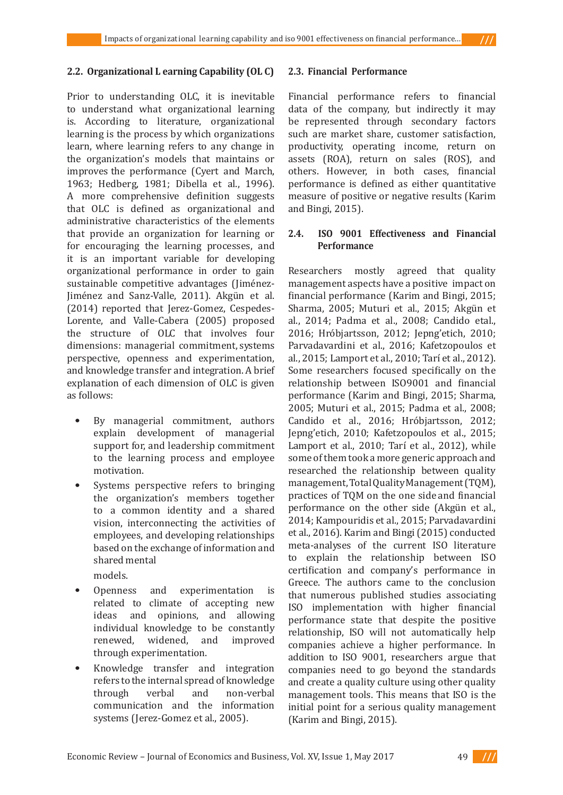## **2.2. Organizational L earning Capability (OL C)**

Prior to understanding OLC, it is inevitable to understand what organizational learning is. According to literature, organizational learning is the process by which organizations learn, where learning refers to any change in the organization's models that maintains or improves the performance (Cyert and March, 1963; Hedberg, 1981; Dibella et al., 1996). A more comprehensive definition suggests that OLC is defined as organizational and administrative characteristics of the elements that provide an organization for learning or for encouraging the learning processes, and it is an important variable for developing organizational performance in order to gain sustainable competitive advantages (Jiménez-Jiménez and Sanz-Valle, 2011). Akgün et al. (2014) reported that Jerez-Gomez, Cespedes-Lorente, and Valle-Cabera (2005) proposed the structure of OLC that involves four dimensions: managerial commitment, systems perspective, openness and experimentation, and knowledge transfer and integration. A brief explanation of each dimension of OLC is given as follows:

- By managerial commitment, authors explain development of managerial support for, and leadership commitment to the learning process and employee motivation.
- Systems perspective refers to bringing the organization's members together to a common identity and a shared vision, interconnecting the activities of employees, and developing relationships based on the exchange of information and shared mental
	- models.
- *•* Openness and experimentation is related to climate of accepting new<br>ideas and opinions, and allowing and opinions, and allowing individual knowledge to be constantly<br>renewed, widened, and improved widened, and improved through experimentation.
- *•* Knowledge transfer and integration refers to the internal spread of knowledge<br>through verbal and non-verbal through verbal and non-verbal communication and the information systems (Jerez-Gomez et al., 2005).

### **2.3. Financial Performance**

Financial performance refers to financial data of the company, but indirectly it may be represented through secondary factors such are market share, customer satisfaction, productivity, operating income, return on assets (ROA), return on sales (ROS), and others. However, in both cases, financial performance is defined as either quantitative measure of positive or negative results (Karim and Bingi, 2015).

# **2.4. ISO 9001 Effectiveness and Financial Performance**

Researchers mostly agreed that quality management aspects have a positive impact on financial performance (Karim and Bingi, 2015; Sharma, 2005; Muturi et al., 2015; Akgün et al., 2014; Padma et al., 2008; Candido etal., 2016; Hróbjartsson, 2012; Jepng'etich, 2010; Parvadavardini et al., 2016; Kafetzopoulos et al., 2015; Lamport et al., 2010; Tarí et al., 2012). Some researchers focused specifically on the relationship between ISO9001 and financial performance (Karim and Bingi, 2015; Sharma, 2005; Muturi et al., 2015; Padma et al., 2008; Candido et al., 2016; Hróbjartsson, 2012; Jepng'etich, 2010; Kafetzopoulos et al., 2015; Lamport et al., 2010; Tarí et al., 2012), while some of them took a more generic approach and researched the relationship between quality management, Total Quality Management (TQM), practices of TQM on the one side and financial performance on the other side (Akgün et al., 2014; Kampouridis et al., 2015; Parvadavardini et al., 2016). Karim and Bingi (2015) conducted meta-analyses of the current ISO literature to explain the relationship between ISO certification and company's performance in Greece. The authors came to the conclusion that numerous published studies associating ISO implementation with higher financial performance state that despite the positive relationship, ISO will not automatically help companies achieve a higher performance. In addition to ISO 9001, researchers argue that companies need to go beyond the standards and create a quality culture using other quality management tools. This means that ISO is the initial point for a serious quality management (Karim and Bingi, 2015).

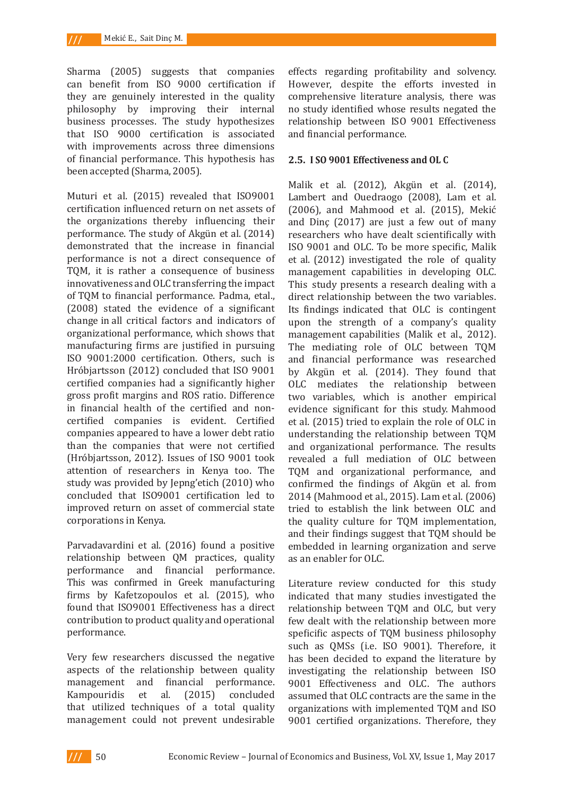Sharma (2005) suggests that companies can benefit from ISO 9000 certification if they are genuinely interested in the quality philosophy by improving their internal business processes. The study hypothesizes that ISO 9000 certification is associated with improvements across three dimensions of financial performance. This hypothesis has been accepted (Sharma, 2005).

Muturi et al. (2015) revealed that ISO9001 certification influenced return on net assets of the organizations thereby influencing their performance. The study of Akgün et al. (2014) demonstrated that the increase in financial performance is not a direct consequence of TQM, it is rather a consequence of business innovativeness and OLC transferring the impact of TQM to financial performance. Padma, etal., (2008) stated the evidence of a significant change in all critical factors and indicators of organizational performance, which shows that manufacturing firms are justified in pursuing ISO 9001:2000 certification. Others, such is Hróbjartsson (2012) concluded that ISO 9001 certified companies had a significantly higher gross profit margins and ROS ratio. Difference in financial health of the certified and noncertified companies is evident. Certified companies appeared to have a lower debt ratio than the companies that were not certified (Hróbjartsson, 2012). Issues of ISO 9001 took attention of researchers in Kenya too. The study was provided by Jepng'etich (2010) who concluded that ISO9001 certification led to improved return on asset of commercial state corporations in Kenya.

Parvadavardini et al. (2016) found a positive relationship between QM practices, quality performance and financial performance. This was confirmed in Greek manufacturing firms by Kafetzopoulos et al. (2015), who found that ISO9001 Effectiveness has a direct contribution to product quality and operational performance.

Very few researchers discussed the negative aspects of the relationship between quality management and financial performance.<br>Kampouridis et al. (2015) concluded Kampouridis et al. (2015) concluded that utilized techniques of a total quality management could not prevent undesirable effects regarding profitability and solvency. However, despite the efforts invested in comprehensive literature analysis, there was no study identified whose results negated the relationship between ISO 9001 Effectiveness and financial performance.

## **2.5. I SO 9001 Effectiveness and OL C**

Malik et al. (2012), Akgün et al. (2014), Lambert and Ouedraogo (2008), Lam et al. (2006), and Mahmood et al. (2015), Mekić and Dinç (2017) are just a few out of many researchers who have dealt scientifically with ISO 9001 and OLC. To be more specific, Malik et al. (2012) investigated the role of quality management capabilities in developing OLC. This study presents a research dealing with a direct relationship between the two variables. Its findings indicated that OLC is contingent upon the strength of a company's quality management capabilities (Malik et al., 2012). The mediating role of OLC between TQM and financial performance was researched by Akgün et al. (2014). They found that OLC mediates the relationship between two variables, which is another empirical evidence significant for this study. Mahmood et al. (2015) tried to explain the role of OLC in understanding the relationship between TQM and organizational performance. The results revealed a full mediation of OLC between TQM and organizational performance, and confirmed the findings of Akgün et al. from 2014 (Mahmood et al., 2015). Lam et al. (2006) tried to establish the link between OLC and the quality culture for TQM implementation, and their findings suggest that TQM should be embedded in learning organization and serve as an enabler for OLC.

Literature review conducted for this study indicated that many studies investigated the relationship between TQM and OLC, but very few dealt with the relationship between more speficific aspects of TQM business philosophy such as QMSs (i.e. ISO 9001). Therefore, it has been decided to expand the literature by investigating the relationship between ISO 9001 Effectiveness and OLC. The authors assumed that OLC contracts are the same in the organizations with implemented TQM and ISO 9001 certified organizations. Therefore, they

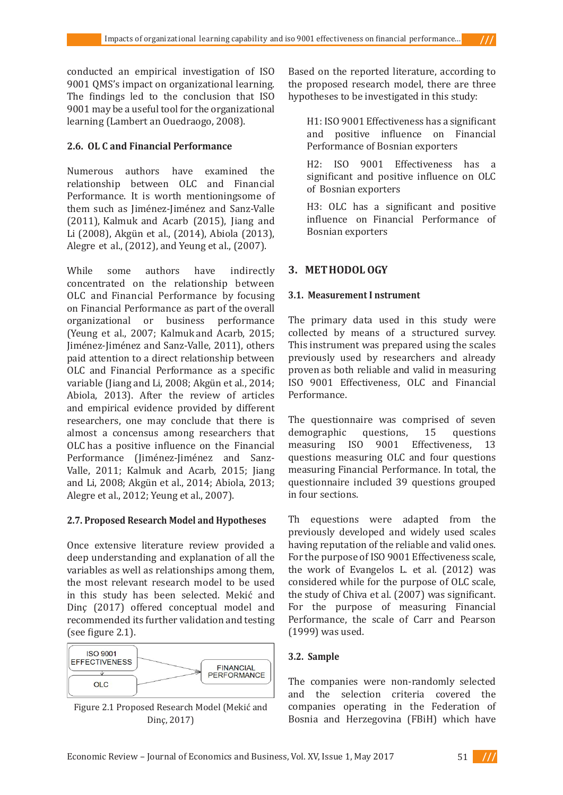conducted an empirical investigation of ISO 9001 QMS's impact on organizational learning. The findings led to the conclusion that ISO 9001 may be a useful tool for the organizational learning (Lambert an Ouedraogo, 2008).

# **2.6. OL C and Financial Performance**

Numerous authors have examined the relationship between OLC and Financial Performance. It is worth mentioningsome of them such as Jiménez-Jiménez and Sanz-Valle (2011), Kalmuk and Acarb (2015), Jiang and Li (2008), Akgün et al., (2014), Abiola (2013), Alegre et al., (2012), and Yeung et al., (2007).

While some authors have indirectly concentrated on the relationship between OLC and Financial Performance by focusing on Financial Performance as part of the overall organizational or business performance (Yeung et al., 2007; Kalmuk and Acarb, 2015; Jiménez-Jiménez and Sanz-Valle, 2011), others paid attention to a direct relationship between OLC and Financial Performance as a specific variable (Jiang and Li, 2008; Akgün et al., 2014; Abiola, 2013). After the review of articles and empirical evidence provided by different researchers, one may conclude that there is almost a concensus among researchers that OLC has a positive influence on the Financial Performance (Jiménez-Jiménez and Sanz-Valle, 2011; Kalmuk and Acarb, 2015; Jiang and Li, 2008; Akgün et al., 2014; Abiola, 2013; Alegre et al., 2012; Yeung et al., 2007).

# **2.7. Proposed Research Model and Hypotheses**

Once extensive literature review provided a deep understanding and explanation of all the variables as well as relationships among them, the most relevant research model to be used in this study has been selected. Mekić and Dinç (2017) offered conceptual model and recommended its further validation and testing (see figure 2.1).





Based on the reported literature, according to the proposed research model, there are three hypotheses to be investigated in this study:

H1: ISO 9001 Effectiveness has a significant and positive influence on Financial Performance of Bosnian exporters

H2: ISO 9001 Effectiveness has a significant and positive influence on OLC of Bosnian exporters

H3: OLC has a significant and positive influence on Financial Performance of Bosnian exporters

# **3. MET HODOL OGY**

# **3.1. Measurement I nstrument**

The primary data used in this study were collected by means of a structured survey. This instrument was prepared using the scales previously used by researchers and already proven as both reliable and valid in measuring ISO 9001 Effectiveness, OLC and Financial Performance.

The questionnaire was comprised of seven<br>demographic questions, 15 questions demographic questions, 15 ques<br>measuring ISO 9001 Effectiveness. measuring ISO 9001 Effectiveness, 13 questions measuring OLC and four questions measuring Financial Performance. In total, the questionnaire included 39 questions grouped in four sections.

Th equestions were adapted from the previously developed and widely used scales having reputation of the reliable and valid ones. For the purpose of ISO 9001 Effectiveness scale, the work of Evangelos L. et al. (2012) was considered while for the purpose of OLC scale, the study of Chiva et al. (2007) was significant. For the purpose of measuring Financial Performance, the scale of Carr and Pearson (1999) was used.

# **3.2. Sample**

The companies were non-randomly selected and the selection criteria covered the companies operating in the Federation of Bosnia and Herzegovina (FBiH) which have

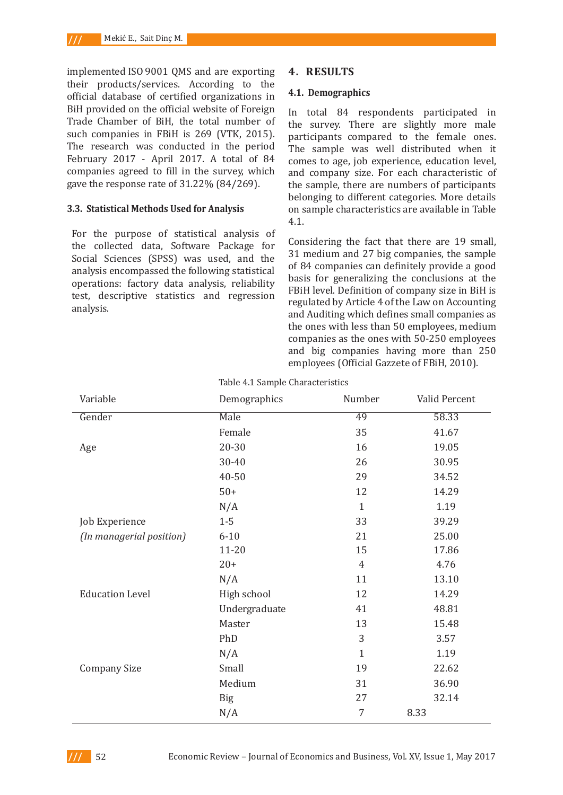implemented ISO 9001 QMS and are exporting their products/services. According to the official database of certified organizations in BiH provided on the official website of Foreign Trade Chamber of BiH, the total number of such companies in FBiH is 269 (VTK, 2015). The research was conducted in the period February 2017 - April 2017. A total of 84 companies agreed to fill in the survey, which gave the response rate of 31.22% (84/269).

#### **3.3. Statistical Methods Used for Analysis**

For the purpose of statistical analysis of the collected data, Software Package for Social Sciences (SPSS) was used, and the analysis encompassed the following statistical operations: factory data analysis, reliability test, descriptive statistics and regression analysis.

### **4. RESULTS**

#### **4.1. Demographics**

In total 84 respondents participated in the survey. There are slightly more male participants compared to the female ones. The sample was well distributed when it comes to age, job experience, education level, and company size. For each characteristic of the sample, there are numbers of participants belonging to different categories. More details on sample characteristics are available in Table 4.1.

Considering the fact that there are 19 small, 31 medium and 27 big companies, the sample of 84 companies can definitely provide a good basis for generalizing the conclusions at the FBiH level. Definition of company size in BiH is regulated by Article 4 of the Law on Accounting and Auditing which defines small companies as the ones with less than 50 employees, medium companies as the ones with 50-250 employees and big companies having more than 250 employees (Official Gazzete of FBiH, 2010).

| Variable                 | Demographics  | Number         | Valid Percent |
|--------------------------|---------------|----------------|---------------|
| Gender                   | Male          | 49             | 58.33         |
|                          | Female        | 35             | 41.67         |
| Age                      | 20-30         | 16             | 19.05         |
|                          | 30-40         | 26             | 30.95         |
|                          | 40-50         | 29             | 34.52         |
|                          | $50+$         | 12             | 14.29         |
|                          | N/A           | $\mathbf{1}$   | 1.19          |
| Job Experience           | $1-5$         | 33             | 39.29         |
| (In managerial position) | $6 - 10$      | 21             | 25.00         |
|                          | $11 - 20$     | 15             | 17.86         |
|                          | $20+$         | $\overline{4}$ | 4.76          |
|                          | N/A           | 11             | 13.10         |
| <b>Education Level</b>   | High school   | 12             | 14.29         |
|                          | Undergraduate | 41             | 48.81         |
|                          | Master        | 13             | 15.48         |
|                          | PhD           | 3              | 3.57          |
|                          | N/A           | $\mathbf{1}$   | 1.19          |
| <b>Company Size</b>      | Small         | 19             | 22.62         |
|                          | Medium        | 31             | 36.90         |
|                          | <b>Big</b>    | 27             | 32.14         |
|                          | N/A           | 7              | 8.33          |

Table 4.1 Sample Characteristics

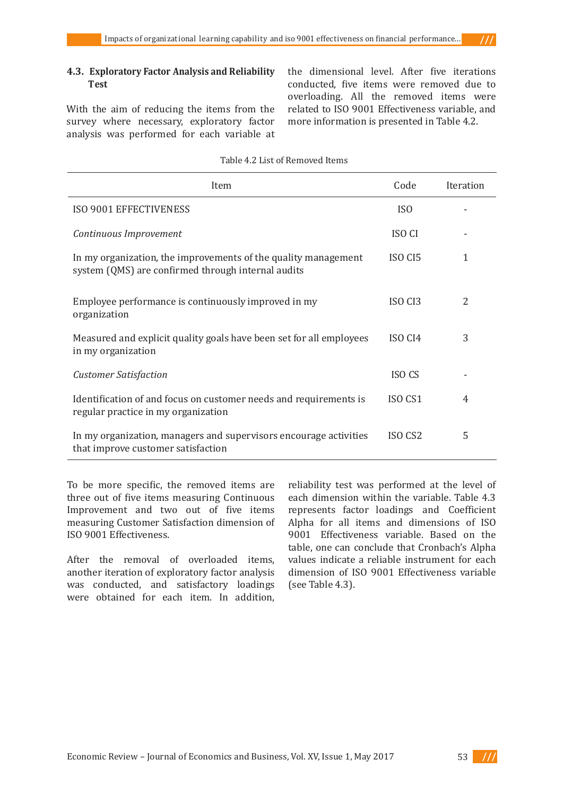With the aim of reducing the items from the survey where necessary, exploratory factor analysis was performed for each variable at the dimensional level. After five iterations conducted, five items were removed due to overloading. All the removed items were related to ISO 9001 Effectiveness variable, and more information is presented in Table 4.2.

| Item                                                                                                                 | Code               | Iteration |
|----------------------------------------------------------------------------------------------------------------------|--------------------|-----------|
| ISO 9001 EFFECTIVENESS                                                                                               | IS <sub>0</sub>    |           |
| Continuous Improvement                                                                                               | <b>ISO CI</b>      |           |
| In my organization, the improvements of the quality management<br>system (QMS) are confirmed through internal audits | ISO CI5            | 1         |
| Employee performance is continuously improved in my<br>organization                                                  | ISO CI3            | 2         |
| Measured and explicit quality goals have been set for all employees<br>in my organization                            | ISO <sub>CI4</sub> | 3         |
| <b>Customer Satisfaction</b>                                                                                         | ISO <sub>CS</sub>  |           |
| Identification of and focus on customer needs and requirements is<br>regular practice in my organization             | ISO CS1            | 4         |
| In my organization, managers and supervisors encourage activities<br>that improve customer satisfaction              | ISO CS2            | 5         |

Table 4.2 List of Removed Items

To be more specific, the removed items are three out of five items measuring Continuous Improvement and two out of five items measuring Customer Satisfaction dimension of ISO 9001 Effectiveness.

After the removal of overloaded items, another iteration of exploratory factor analysis was conducted, and satisfactory loadings were obtained for each item. In addition, reliability test was performed at the level of each dimension within the variable. Table 4.3 represents factor loadings and Coefficient Alpha for all items and dimensions of ISO 9001 Effectiveness variable. Based on the table, one can conclude that Cronbach's Alpha values indicate a reliable instrument for each dimension of ISO 9001 Effectiveness variable (see Table 4.3).

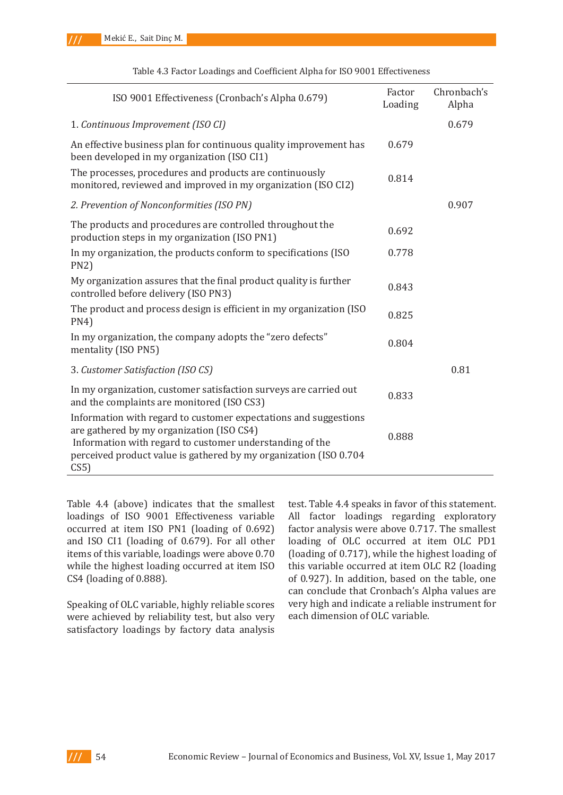| ISO 9001 Effectiveness (Cronbach's Alpha 0.679)                                                                                                                                                                                                       | Factor<br>Loading | Chronbach's<br>Alpha |
|-------------------------------------------------------------------------------------------------------------------------------------------------------------------------------------------------------------------------------------------------------|-------------------|----------------------|
| 1. Continuous Improvement (ISO CI)                                                                                                                                                                                                                    |                   | 0.679                |
| An effective business plan for continuous quality improvement has<br>been developed in my organization (ISO CI1)                                                                                                                                      | 0.679             |                      |
| The processes, procedures and products are continuously<br>monitored, reviewed and improved in my organization (ISO CI2)                                                                                                                              | 0.814             |                      |
| 2. Prevention of Nonconformities (ISO PN)                                                                                                                                                                                                             |                   | 0.907                |
| The products and procedures are controlled throughout the<br>production steps in my organization (ISO PN1)                                                                                                                                            | 0.692             |                      |
| In my organization, the products conform to specifications (ISO)<br>PN2                                                                                                                                                                               | 0.778             |                      |
| My organization assures that the final product quality is further<br>controlled before delivery (ISO PN3)                                                                                                                                             | 0.843             |                      |
| The product and process design is efficient in my organization (ISO<br>PN4)                                                                                                                                                                           | 0.825             |                      |
| In my organization, the company adopts the "zero defects"<br>mentality (ISO PN5)                                                                                                                                                                      | 0.804             |                      |
| 3. Customer Satisfaction (ISO CS)                                                                                                                                                                                                                     |                   | 0.81                 |
| In my organization, customer satisfaction surveys are carried out<br>and the complaints are monitored (ISO CS3)                                                                                                                                       | 0.833             |                      |
| Information with regard to customer expectations and suggestions<br>are gathered by my organization (ISO CS4)<br>Information with regard to customer understanding of the<br>perceived product value is gathered by my organization (ISO 0.704<br>CS5 | 0.888             |                      |

Table 4.3 Factor Loadings and Coefficient Alpha for ISO 9001 Effectiveness

Table 4.4 (above) indicates that the smallest loadings of ISO 9001 Effectiveness variable occurred at item ISO PN1 (loading of 0.692) and ISO CI1 (loading of 0.679). For all other items of this variable, loadings were above 0.70 while the highest loading occurred at item ISO CS4 (loading of 0.888).

Speaking of OLC variable, highly reliable scores were achieved by reliability test, but also very satisfactory loadings by factory data analysis

test. Table 4.4 speaks in favor of this statement. All factor loadings regarding exploratory factor analysis were above 0.717. The smallest loading of OLC occurred at item OLC PD1 (loading of 0.717), while the highest loading of this variable occurred at item OLC R2 (loading of 0.927). In addition, based on the table, one can conclude that Cronbach's Alpha values are very high and indicate a reliable instrument for each dimension of OLC variable.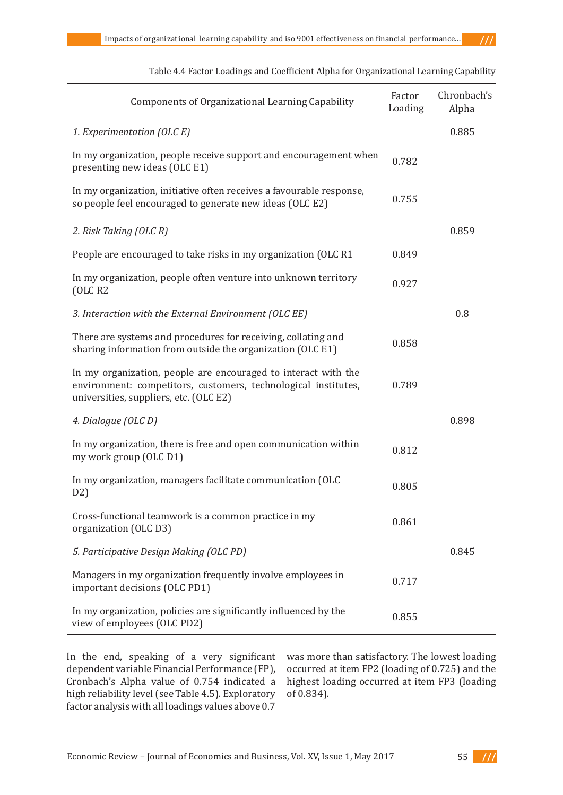| <b>Components of Organizational Learning Capability</b>                                                                                                                    | Factor<br>Loading | Chronbach's<br>Alpha |
|----------------------------------------------------------------------------------------------------------------------------------------------------------------------------|-------------------|----------------------|
| 1. Experimentation (OLC E)                                                                                                                                                 |                   | 0.885                |
| In my organization, people receive support and encouragement when<br>presenting new ideas (OLC E1)                                                                         | 0.782             |                      |
| In my organization, initiative often receives a favourable response,<br>so people feel encouraged to generate new ideas (OLC E2)                                           | 0.755             |                      |
| 2. Risk Taking (OLC R)                                                                                                                                                     |                   | 0.859                |
| People are encouraged to take risks in my organization (OLC R1)                                                                                                            | 0.849             |                      |
| In my organization, people often venture into unknown territory<br>OLC R2                                                                                                  | 0.927             |                      |
| 3. Interaction with the External Environment (OLC EE)                                                                                                                      |                   | 0.8                  |
| There are systems and procedures for receiving, collating and<br>sharing information from outside the organization (OLC E1)                                                | 0.858             |                      |
| In my organization, people are encouraged to interact with the<br>environment: competitors, customers, technological institutes,<br>universities, suppliers, etc. (OLC E2) | 0.789             |                      |
| 4. Dialogue (OLC D)                                                                                                                                                        |                   | 0.898                |
| In my organization, there is free and open communication within<br>my work group (OLC D1)                                                                                  | 0.812             |                      |
| In my organization, managers facilitate communication (OLC<br>D2)                                                                                                          | 0.805             |                      |
| Cross-functional teamwork is a common practice in my<br>organization (OLC D3)                                                                                              | 0.861             |                      |
| 5. Participative Design Making (OLC PD)                                                                                                                                    |                   | 0.845                |
| Managers in my organization frequently involve employees in<br>important decisions (OLC PD1)                                                                               | 0.717             |                      |
| In my organization, policies are significantly influenced by the<br>view of employees (OLC PD2)                                                                            | 0.855             |                      |

Table 4.4 Factor Loadings and Coefficient Alpha for Organizational Learning Capability

In the end, speaking of a very significant dependent variable Financial Performance (FP), Cronbach's Alpha value of 0.754 indicated a high reliability level (see Table 4.5). Exploratory factor analysis with all loadings values above 0.7

was more than satisfactory. The lowest loading occurred at item FP2 (loading of 0.725) and the highest loading occurred at item FP3 (loading of 0.834).

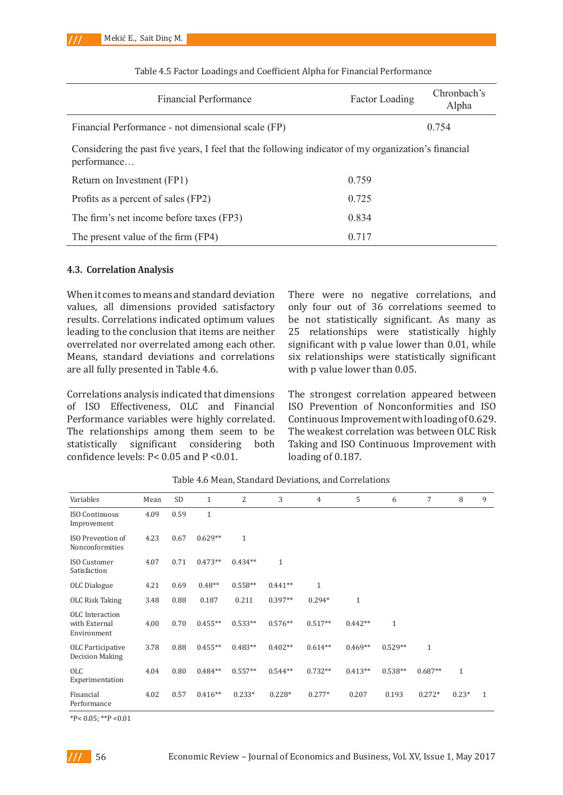| <b>Financial Performance</b>                                                                                       | <b>Factor Loading</b> | Chronbach's<br>Alpha |
|--------------------------------------------------------------------------------------------------------------------|-----------------------|----------------------|
| Financial Performance - not dimensional scale (FP)                                                                 | 0.754                 |                      |
| Considering the past five years, I feel that the following indicator of my organization's financial<br>performance |                       |                      |
| Return on Investment (FP1)                                                                                         | 0.759                 |                      |
| Profits as a percent of sales (FP2)                                                                                | 0.725                 |                      |
| The firm's net income before taxes (FP3)                                                                           | 0.834                 |                      |
| The present value of the firm (FP4)                                                                                | 0.717                 |                      |

Table 4.5 Factor Loadings and Coefficient Alpha for Financial Performance

#### **4.3. Correlation Analysis**

When it comes to means and standard deviation values, all dimensions provided satisfactory results. Correlations indicated optimum values leading to the conclusion that items are neither overrelated nor overrelated among each other. Means, standard deviations and correlations are all fully presented in Table 4.6.

Correlations analysis indicated that dimensions of ISO Effectiveness, OLC and Financial Performance variables were highly correlated. The relationships among them seem to be<br>statistically significant considering both statistically significant considering confidence levels: P< 0.05 and P <0.01.

There were no negative correlations, and only four out of 36 correlations seemed to be not statistically significant. As many as 25 relationships were statistically highly significant with p value lower than 0.01, while six relationships were statistically significant with p value lower than 0.05.

The strongest correlation appeared between ISO Prevention of Nonconformities and ISO Continuous Improvement with loading of 0.629. The weakest correlation was between OLC Risk Taking and ISO Continuous Improvement with loading of 0.187.

| Variables                                       | Mean | <b>SD</b> | $\mathbf{1}$ | 2            | 3            | $\overline{4}$ | 5            | 6            | 7            | 8            | 9 |
|-------------------------------------------------|------|-----------|--------------|--------------|--------------|----------------|--------------|--------------|--------------|--------------|---|
| <b>ISO Continuous</b><br>Improvement            | 4.09 | 0.59      | $\mathbf{1}$ |              |              |                |              |              |              |              |   |
| ISO Prevention of<br>Nonconformities            | 4.23 | 0.67      | $0.629**$    | $\mathbf{1}$ |              |                |              |              |              |              |   |
| ISO Customer<br>Satisfaction                    | 4.07 | 0.71      | $0.473**$    | $0.434**$    | $\mathbf{1}$ |                |              |              |              |              |   |
| OLC Dialogue                                    | 4.21 | 0.69      | $0.48**$     | $0.558**$    | $0.441**$    | $\mathbf{1}$   |              |              |              |              |   |
| OLC Risk Taking                                 | 3.48 | 0.88      | 0.187        | 0.211        | $0.397**$    | $0.294*$       | $\mathbf{1}$ |              |              |              |   |
| OLC Interaction<br>with External<br>Environment | 4.00 | 0.70      | $0.455**$    | $0.533**$    | $0.576**$    | $0.517**$      | $0.442**$    | $\mathbf{1}$ |              |              |   |
| OLC Participative<br>Decision Making            | 3.78 | 0.88      | $0.455**$    | $0.483**$    | $0.402**$    | $0.614**$      | $0.469**$    | $0.529**$    | $\mathbf{1}$ |              |   |
| <b>OLC</b><br>Experimentation                   | 4.04 | 0.80      | $0.484**$    | $0.557**$    | $0.544**$    | $0.732**$      | $0.413**$    | $0.538**$    | $0.687**$    | $\mathbf{1}$ |   |
| Financial<br>Performance                        | 4.02 | 0.57      | $0.416**$    | $0.233*$     | $0.228*$     | $0.277*$       | 0.207        | 0.193        | $0.272*$     | $0.23*$      | 1 |

Table 4.6 Mean, Standard Deviations, and Correlations

 $*P< 0.05$ ;  $*P< 0.01$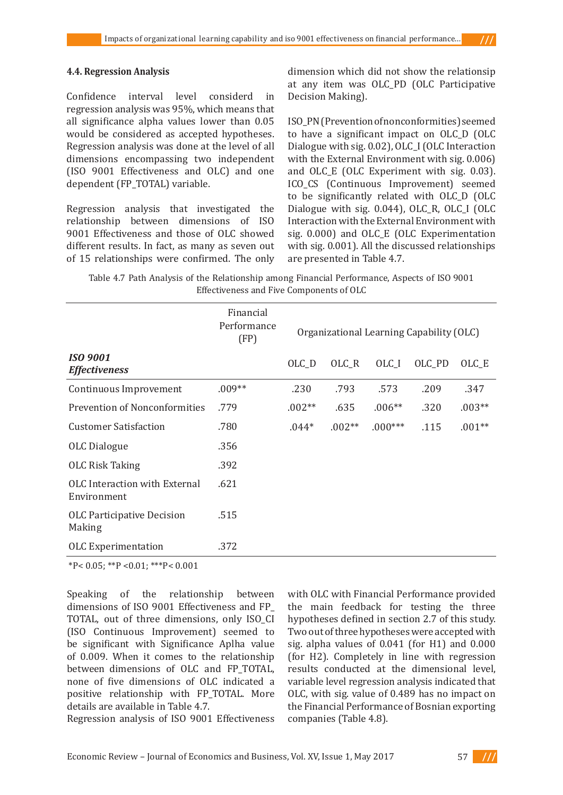#### **4.4. Regression Analysis**

Confidence interval level considerd in regression analysis was 95%, which means that all significance alpha values lower than 0.05 would be considered as accepted hypotheses. Regression analysis was done at the level of all dimensions encompassing two independent (ISO 9001 Effectiveness and OLC) and one dependent (FP\_TOTAL) variable.

Regression analysis that investigated the relationship between dimensions of ISO 9001 Effectiveness and those of OLC showed different results. In fact, as many as seven out of 15 relationships were confirmed. The only

dimension which did not show the relationsip at any item was OLC\_PD (OLC Participative Decision Making).

ISO\_PN (Prevention of nonconformities) seemed to have a significant impact on OLC\_D (OLC Dialogue with sig. 0.02), OLC\_I (OLC Interaction with the External Environment with sig. 0.006) and OLC\_E (OLC Experiment with sig. 0.03). ICO\_CS (Continuous Improvement) seemed to be significantly related with OLC\_D (OLC Dialogue with sig. 0.044), OLC<sub>R</sub>, OLC<sub>I</sub> (OLC Interaction with the External Environment with sig. 0.000) and OLC\_E (OLC Experimentation with sig. 0.001). All the discussed relationships are presented in Table 4.7.

Table 4.7 Path Analysis of the Relationship among Financial Performance, Aspects of ISO 9001 Effectiveness and Five Components of OLC

|                                              | Financial<br>Performance<br>(FP) | Organizational Learning Capability (OLC) |          |                  |        |          |
|----------------------------------------------|----------------------------------|------------------------------------------|----------|------------------|--------|----------|
| <b>ISO 9001</b><br><b>Effectiveness</b>      |                                  | OLC_D                                    | OLC_R    | OLC <sub>I</sub> | OLC PD | OLC E    |
| Continuous Improvement                       | $.009**$                         | .230                                     | .793     | .573             | .209   | .347     |
| <b>Prevention of Nonconformities</b>         | .779                             | $.002**$                                 | .635     | $.006**$         | .320   | $.003**$ |
| <b>Customer Satisfaction</b>                 | .780                             | $.044*$                                  | $.002**$ | $.000***$        | .115   | $.001**$ |
| OLC Dialogue                                 | .356                             |                                          |          |                  |        |          |
| <b>OLC Risk Taking</b>                       | .392                             |                                          |          |                  |        |          |
| OLC Interaction with External<br>Environment | .621                             |                                          |          |                  |        |          |
| <b>OLC</b> Participative Decision<br>Making  | .515                             |                                          |          |                  |        |          |
| <b>OLC</b> Experimentation                   | .372                             |                                          |          |                  |        |          |

\*P< 0.05; \*\*P <0.01; \*\*\*P< 0.001

Speaking of the relationship between dimensions of ISO 9001 Effectiveness and FP\_ TOTAL, out of three dimensions, only ISO\_CI (ISO Continuous Improvement) seemed to be significant with Significance Aplha value of 0.009. When it comes to the relationship between dimensions of OLC and FP\_TOTAL, none of five dimensions of OLC indicated a positive relationship with FP\_TOTAL. More details are available in Table 4.7.

Regression analysis of ISO 9001 Effectiveness

with OLC with Financial Performance provided the main feedback for testing the three hypotheses defined in section 2.7 of this study. Two out of three hypotheses were accepted with sig. alpha values of 0.041 (for H1) and 0.000 (for H2). Completely in line with regression results conducted at the dimensional level, variable level regression analysis indicated that OLC, with sig. value of 0.489 has no impact on the Financial Performance of Bosnian exporting companies (Table 4.8).

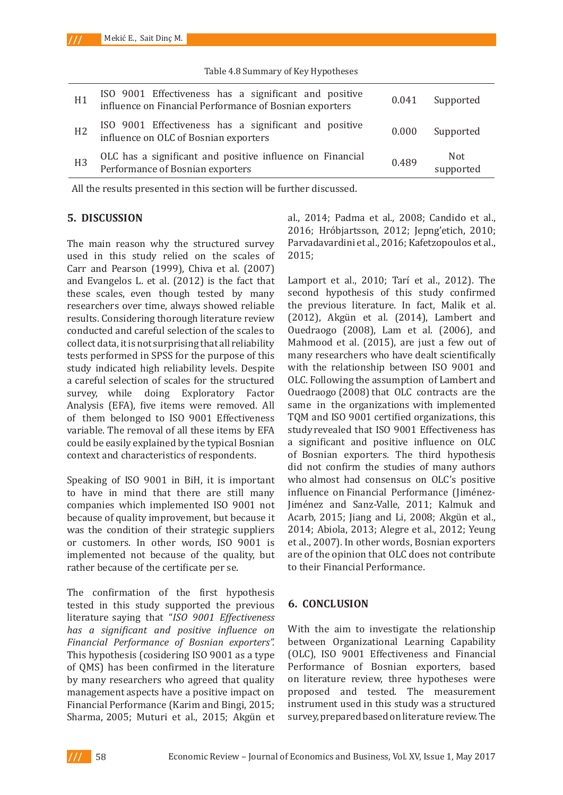| H1             | ISO 9001 Effectiveness has a significant and positive influence on Financial Performance of Bosnian exporters | 0.041 | Supported         |
|----------------|---------------------------------------------------------------------------------------------------------------|-------|-------------------|
| H <sub>2</sub> | ISO 9001 Effectiveness has a significant and positive influence on OLC of Bosnian exporters                   | 0.000 | Supported         |
| H <sub>3</sub> | OLC has a significant and positive influence on Financial<br>Performance of Bosnian exporters                 | 0.489 | Not.<br>supported |

Table 4.8 Summary of Key Hypotheses

All the results presented in this section will be further discussed.

### **5. DI SCUSSI ON**

The main reason why the structured survey used in this study relied on the scales of Carr and Pearson (1999), Chiva et al. (2007) and Evangelos L. et al. (2012) is the fact that these scales, even though tested by many researchers over time, always showed reliable results. Considering thorough literature review conducted and careful selection of the scales to collect data, it is not surprising that all reliability tests performed in SPSS for the purpose of this study indicated high reliability levels. Despite a careful selection of scales for the structured<br>survey, while doing Exploratory Factor survey, while doing Exploratory Analysis (EFA), five items were removed. All of them belonged to ISO 9001 Effectiveness variable. The removal of all these items by EFA could be easily explained by the typical Bosnian context and characteristics of respondents.

Speaking of ISO 9001 in BiH, it is important to have in mind that there are still many companies which implemented ISO 9001 not because of quality improvement, but because it was the condition of their strategic suppliers or customers. In other words, ISO 9001 is implemented not because of the quality, but rather because of the certificate per se.

The confirmation of the first hypothesis tested in this study supported the previous literature saying that "*ISO 9001 Effectiveness has a significant and positive influence on Financial Performance of Bosnian exporters".*  This hypothesis (cosidering ISO 9001 as a type of QMS) has been confirmed in the literature by many researchers who agreed that quality management aspects have a positive impact on Financial Performance (Karim and Bingi, 2015; Sharma, 2005; Muturi et al., 2015; Akgün et al., 2014; Padma et al., 2008; Candido et al., 2016; Hróbjartsson, 2012; Jepng'etich, 2010; Parvadavardini et al., 2016; Kafetzopoulos et al., 2015;

Lamport et al., 2010; Tarí et al., 2012). The second hypothesis of this study confirmed the previous literature. In fact, Malik et al. (2012), Akgün et al. (2014), Lambert and Ouedraogo (2008), Lam et al. (2006), and Mahmood et al. (2015), are just a few out of many researchers who have dealt scientifically with the relationship between ISO 9001 and OLC. Following the assumption of Lambert and Ouedraogo (2008) that OLC contracts are the same in the organizations with implemented TQM and ISO 9001 certified organizations, this study revealed that ISO 9001 Effectiveness has a significant and positive influence on OLC of Bosnian exporters. The third hypothesis did not confirm the studies of many authors who almost had consensus on OLC's positive influence on Financial Performance (Jiménez-Jiménez and Sanz-Valle, 2011; Kalmuk and Acarb, 2015; Jiang and Li, 2008; Akgün et al., 2014; Abiola, 2013; Alegre et al., 2012; Yeung et al., 2007). In other words, Bosnian exporters are of the opinion that OLC does not contribute to their Financial Performance.

# **6. CONCLUSION**

With the aim to investigate the relationship between Organizational Learning Capability (OLC), ISO 9001 Effectiveness and Financial Performance of Bosnian exporters, based on literature review, three hypotheses were proposed and tested. The measurement instrument used in this study was a structured survey, prepared based on literature review. The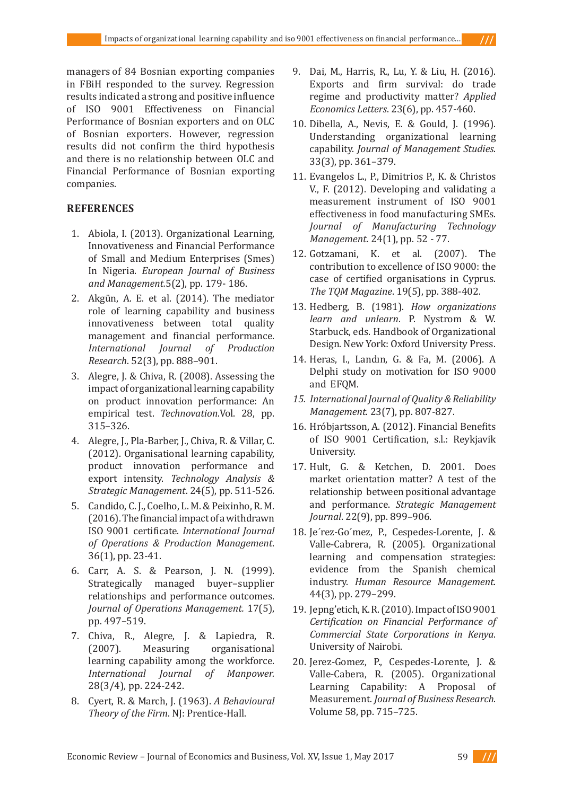managers of 84 Bosnian exporting companies in FBiH responded to the survey. Regression results indicated a strong and positive influence of ISO 9001 Effectiveness on Financial Performance of Bosnian exporters and on OLC of Bosnian exporters. However, regression results did not confirm the third hypothesis and there is no relationship between OLC and Financial Performance of Bosnian exporting companies.

# **REFERENCES**

- 1. Abiola, I. (2013). Organizational Learning, Innovativeness and Financial Performance of Small and Medium Enterprises (Smes) In Nigeria. *European Journal of Business and Management.*5(2), pp. 179- 186.
- 2. Akgün, A. E. et al. (2014). The mediator role of learning capability and business innovativeness between total quality management and financial performance. *International Journal of Production Research*. 52(3), pp. 888–901.
- 3. Alegre, J. & Chiva, R. (2008). Assessing the impact of organizational learning capability on product innovation performance: An empirical test. *Technovation*.Vol. 28, pp. 315–326.
- 4. Alegre, J., Pla-Barber, J., Chiva, R. & Villar, C. (2012). Organisational learning capability, product innovation performance and export intensity. *Technology Analysis & Strategic Management*. 24(5), pp. 511-526.
- 5. Candido, C. J., Coelho, L. M. & Peixinho, R. M. (2016). The financial impact of a withdrawn ISO 9001 certificate. *International Journal of Operations & Production Management*. 36(1), pp. 23-41.
- 6. Carr, A. S. & Pearson, J. N. (1999). Strategically managed buyer–supplier relationships and performance outcomes. *Journal of Operations Management.* 17(5), pp. 497–519.
- 7. Chiva, R., Alegre, J. & Lapiedra, R. (2007). Measuring organisational learning capability among the workforce. *International Journal of Manpower.*  28(3/4), pp. 224-242.
- 8. Cyert, R. & March, J. (1963). *A Behavioural Theory of the Firm*. NJ: Prentice-Hall.
- 9. Dai, M., Harris, R., Lu, Y. & Liu, H. (2016). Exports and firm survival: do trade regime and productivity matter? *Applied Economics Letters*. 23(6), pp. 457-460.
- 10. Dibella, A., Nevis, E. & Gould, J. (1996). Understanding organizational learning capability. *Journal of Management Studies*. 33(3), pp. 361–379.
- 11. Evangelos L., P., Dimitrios P., K. & Christos V., F. (2012). Developing and validating a measurement instrument of ISO 9001 effectiveness in food manufacturing SMEs. *Journal of Manufacturing Technology Management.* 24(1), pp. 52 - 77.
- 12. Gotzamani, K. et al. (2007). The contribution to excellence of ISO 9000: the case of certified organisations in Cyprus. *The TQM Magazine*. 19(5), pp. 388-402.
- 13. Hedberg, B. (1981). *How organizations learn and unlearn*. P. Nystrom & W. Starbuck, eds. Handbook of Organizational Design. New York: Oxford University Press.
- 14. Heras, I., Landın, G. & Fa, M. (2006). A Delphi study on motivation for ISO 9000 and EFQM.
- *15. International Journal of Quality & Reliability Management*. 23(7), pp. 807-827.
- 16. Hróbjartsson, A. (2012). Financial Benefits of ISO 9001 Certification, s.l.: Reykjavik University.
- 17. Hult, G. & Ketchen, D. 2001. Does market orientation matter? A test of the relationship between positional advantage and performance. *Strategic Management Journal*. 22(9), pp. 899–906.
- 18. Je´rez-Go´mez, P., Cespedes-Lorente, J. & Valle-Cabrera, R. (2005). Organizational learning and compensation strategies: evidence from the Spanish chemical industry. *Human Resource Management*. 44(3), pp. 279–299.
- 19. Jepng'etich, K. R. (2010). Impact of ISO 9001 *Certification on Financial Performance of Commercial State Corporations in Kenya*. University of Nairobi.
- 20. Jerez-Gomez, P., Cespedes-Lorente, J. & Valle-Cabera, R. (2005). Organizational Learning Capability: A Proposal of Measurement. *Journal of Business Research*. Volume 58, pp. 715–725.

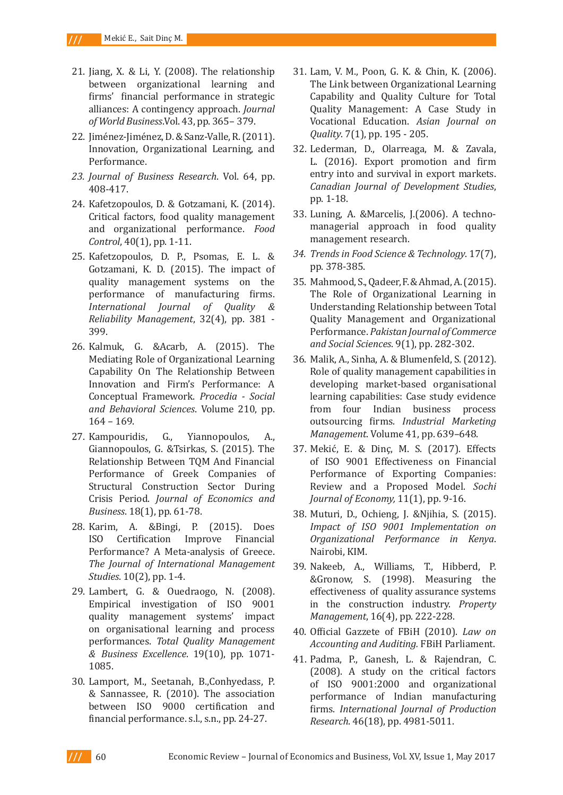- 21. Jiang, X. & Li, Y. (2008). The relationship between organizational learning and firms' financial performance in strategic alliances: A contingency approach. *Journal of World Business*.Vol. 43, pp. 365– 379.
- 22. Jiménez-Jiménez, D. & Sanz-Valle, R. (2011). Innovation, Organizational Learning, and Performance.
- *23. Journal of Business Research*. Vol. 64, pp. 408-417.
- 24. Kafetzopoulos, D. & Gotzamani, K. (2014). Critical factors, food quality management and organizational performance. *Food Control*, 40(1), pp. 1-11.
- 25. Kafetzopoulos, D. P., Psomas, E. L. & Gotzamani, K. D. (2015). The impact of quality management systems on the performance of manufacturing firms. *International Journal of Quality & Reliability Management*, 32(4), pp. 381 - 399.
- 26. Kalmuk, G. &Acarb, A. (2015). The Mediating Role of Organizational Learning Capability On The Relationship Between Innovation and Firm's Performance: A Conceptual Framework. *Procedia - Social and Behavioral Sciences*. Volume 210, pp. 164 – 169.
- 27. Kampouridis, G., Yiannopoulos, A., Giannopoulos, G. &Tsirkas, S. (2015). The Relationship Between TQM And Financial Performance of Greek Companies of Structural Construction Sector During Crisis Period. *Journal of Economics and Business*. 18(1), pp. 61-78.
- 28. Karim, A. &Bingi, P. (2015). Does Certification Improve Financial Performance? A Meta-analysis of Greece. *The Journal of International Management Studies*. 10(2), pp. 1-4.
- 29. Lambert, G. & Ouedraogo, N. (2008). Empirical investigation of ISO 9001 quality management systems' impact on organisational learning and process performances. *Total Quality Management & Business Excellence*. 19(10), pp. 1071- 1085.
- 30. Lamport, M., Seetanah, B.,Conhyedass, P. & Sannassee, R. (2010). The association between ISO 9000 certification and financial performance. s.l., s.n., pp. 24-27.
- 31. Lam, V. M., Poon, G. K. & Chin, K. (2006). The Link between Organizational Learning Capability and Quality Culture for Total Quality Management: A Case Study in Vocational Education. *Asian Journal on Quality*. 7(1), pp. 195 - 205.
- 32. Lederman, D., Olarreaga, M. & Zavala, L. (2016). Export promotion and firm entry into and survival in export markets. *Canadian Journal of Development Studies*, pp. 1-18.
- 33. Luning, A. &Marcelis, J.(2006). A technomanagerial approach in food quality management research.
- *34. Trends in Food Science & Technology*. 17(7), pp. 378-385.
- 35. Mahmood, S., Qadeer, F. & Ahmad, A. (2015). The Role of Organizational Learning in Understanding Relationship between Total Quality Management and Organizational Performance. *Pakistan Journal of Commerce and Social Sciences*. 9(1), pp. 282-302.
- 36. Malik, A., Sinha, A. & Blumenfeld, S. (2012). Role of quality management capabilities in developing market-based organisational learning capabilities: Case study evidence from four Indian business process outsourcing firms. *Industrial Marketing Management*. Volume 41, pp. 639–648.
- 37. Mekić, E. & Dinç, M. S. (2017). Effects of ISO 9001 Effectiveness on Financial Performance of Exporting Companies: Review and a Proposed Model. *Sochi Journal of Economy,* 11(1), pp. 9-16.
- 38. Muturi, D., Ochieng, J. &Njihia, S. (2015). *Impact of ISO 9001 Implementation on Organizational Performance in Kenya*. Nairobi, KIM.
- 39. Nakeeb, A., Williams, T., Hibberd, P. &Gronow, S. (1998). Measuring the effectiveness of quality assurance systems in the construction industry. *Property Management*, 16(4), pp. 222-228.
- 40. Official Gazzete of FBiH (2010). *Law on Accounting and Auditing.* FBiH Parliament.
- 41. Padma, P., Ganesh, L. & Rajendran, C. (2008). A study on the critical factors of ISO 9001:2000 and organizational performance of Indian manufacturing firms. *International Journal of Production Research*. 46(18), pp. 4981-5011.